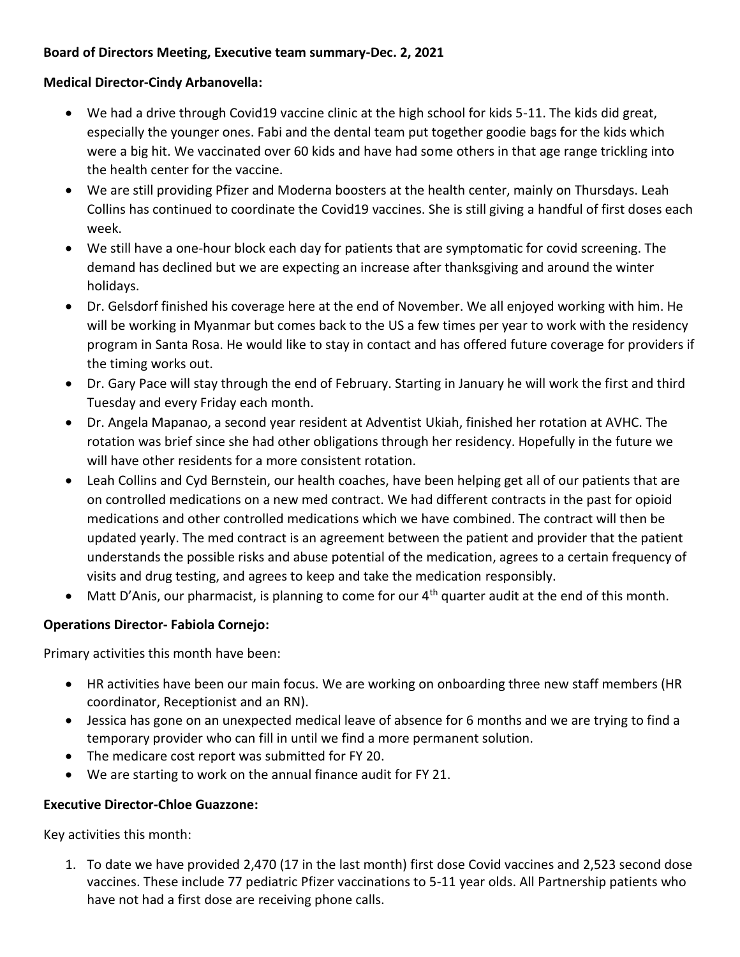### **Board of Directors Meeting, Executive team summary-Dec. 2, 2021**

#### **Medical Director-Cindy Arbanovella:**

- We had a drive through Covid19 vaccine clinic at the high school for kids 5-11. The kids did great, especially the younger ones. Fabi and the dental team put together goodie bags for the kids which were a big hit. We vaccinated over 60 kids and have had some others in that age range trickling into the health center for the vaccine.
- We are still providing Pfizer and Moderna boosters at the health center, mainly on Thursdays. Leah Collins has continued to coordinate the Covid19 vaccines. She is still giving a handful of first doses each week.
- We still have a one-hour block each day for patients that are symptomatic for covid screening. The demand has declined but we are expecting an increase after thanksgiving and around the winter holidays.
- Dr. Gelsdorf finished his coverage here at the end of November. We all enjoyed working with him. He will be working in Myanmar but comes back to the US a few times per year to work with the residency program in Santa Rosa. He would like to stay in contact and has offered future coverage for providers if the timing works out.
- Dr. Gary Pace will stay through the end of February. Starting in January he will work the first and third Tuesday and every Friday each month.
- Dr. Angela Mapanao, a second year resident at Adventist Ukiah, finished her rotation at AVHC. The rotation was brief since she had other obligations through her residency. Hopefully in the future we will have other residents for a more consistent rotation.
- Leah Collins and Cyd Bernstein, our health coaches, have been helping get all of our patients that are on controlled medications on a new med contract. We had different contracts in the past for opioid medications and other controlled medications which we have combined. The contract will then be updated yearly. The med contract is an agreement between the patient and provider that the patient understands the possible risks and abuse potential of the medication, agrees to a certain frequency of visits and drug testing, and agrees to keep and take the medication responsibly.
- Matt D'Anis, our pharmacist, is planning to come for our 4<sup>th</sup> quarter audit at the end of this month.

### **Operations Director- Fabiola Cornejo:**

Primary activities this month have been:

- HR activities have been our main focus. We are working on onboarding three new staff members (HR coordinator, Receptionist and an RN).
- Jessica has gone on an unexpected medical leave of absence for 6 months and we are trying to find a temporary provider who can fill in until we find a more permanent solution.
- The medicare cost report was submitted for FY 20.
- We are starting to work on the annual finance audit for FY 21.

#### **Executive Director-Chloe Guazzone:**

Key activities this month:

1. To date we have provided 2,470 (17 in the last month) first dose Covid vaccines and 2,523 second dose vaccines. These include 77 pediatric Pfizer vaccinations to 5-11 year olds. All Partnership patients who have not had a first dose are receiving phone calls.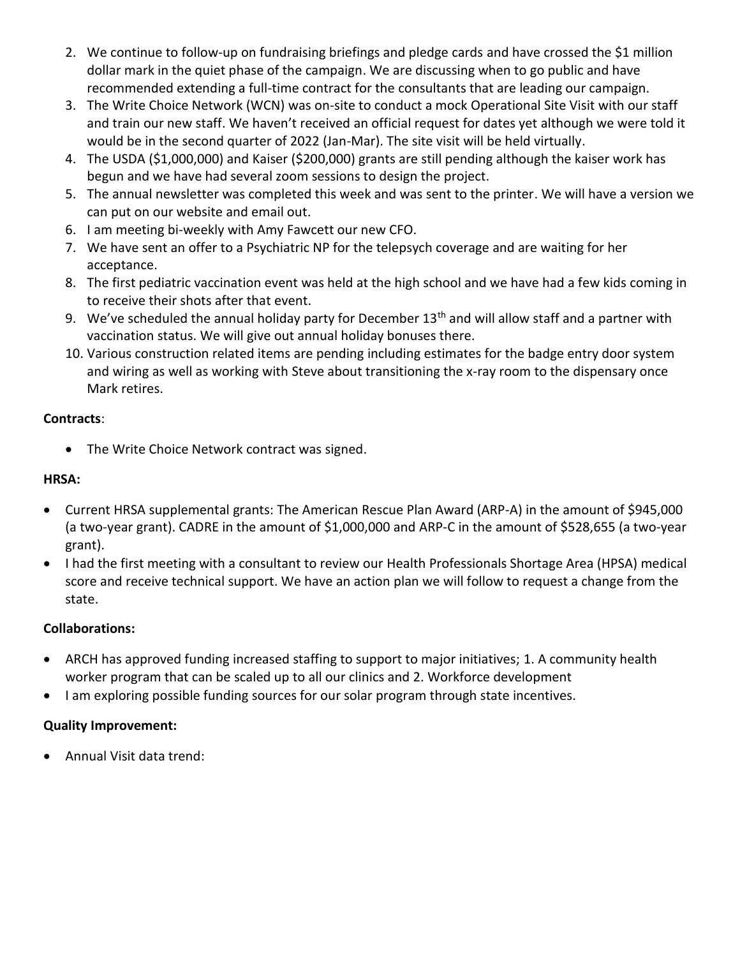- 2. We continue to follow-up on fundraising briefings and pledge cards and have crossed the \$1 million dollar mark in the quiet phase of the campaign. We are discussing when to go public and have recommended extending a full-time contract for the consultants that are leading our campaign.
- 3. The Write Choice Network (WCN) was on-site to conduct a mock Operational Site Visit with our staff and train our new staff. We haven't received an official request for dates yet although we were told it would be in the second quarter of 2022 (Jan-Mar). The site visit will be held virtually.
- 4. The USDA (\$1,000,000) and Kaiser (\$200,000) grants are still pending although the kaiser work has begun and we have had several zoom sessions to design the project.
- 5. The annual newsletter was completed this week and was sent to the printer. We will have a version we can put on our website and email out.
- 6. I am meeting bi-weekly with Amy Fawcett our new CFO.
- 7. We have sent an offer to a Psychiatric NP for the telepsych coverage and are waiting for her acceptance.
- 8. The first pediatric vaccination event was held at the high school and we have had a few kids coming in to receive their shots after that event.
- 9. We've scheduled the annual holiday party for December 13<sup>th</sup> and will allow staff and a partner with vaccination status. We will give out annual holiday bonuses there.
- 10. Various construction related items are pending including estimates for the badge entry door system and wiring as well as working with Steve about transitioning the x-ray room to the dispensary once Mark retires.

## **Contracts**:

• The Write Choice Network contract was signed.

## **HRSA:**

- Current HRSA supplemental grants: The American Rescue Plan Award (ARP-A) in the amount of \$945,000 (a two-year grant). CADRE in the amount of \$1,000,000 and ARP-C in the amount of \$528,655 (a two-year grant).
- I had the first meeting with a consultant to review our Health Professionals Shortage Area (HPSA) medical score and receive technical support. We have an action plan we will follow to request a change from the state.

### **Collaborations:**

- ARCH has approved funding increased staffing to support to major initiatives; 1. A community health worker program that can be scaled up to all our clinics and 2. Workforce development
- I am exploring possible funding sources for our solar program through state incentives.

# **Quality Improvement:**

Annual Visit data trend: